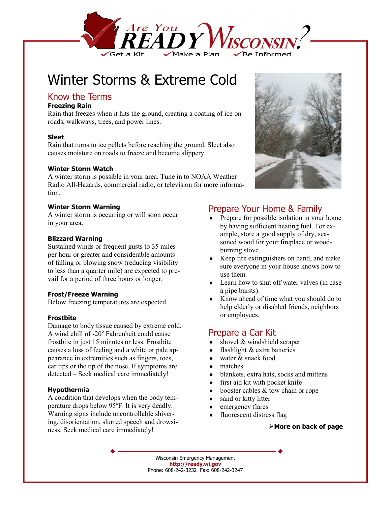

# Winter Storms & Extreme Cold

## Know the Terms

#### **Freezing Rain**

Rain that freezes when it hits the ground, creating a coating of ice on roads, walkways, trees, and power lines.

#### **Sleet**

Rain that turns to ice pellets before reaching the ground. Sleet also causes moisture on roads to freeze and become slippery.

#### **Winter Storm Watch**

A winter storm is possible in your area. Tune in to NOAA Weather Radio All-Hazards, commercial radio, or television for more information.

#### **Winter Storm Warning**

A winter storm is occurring or will soon occur in your area.

#### **Blizzard Warning**

Sustained winds or frequent gusts to 35 miles per hour or greater and considerable amounts of falling or blowing snow (reducing visibility to less than a quarter mile) are expected to prevail for a period of three hours or longer.

#### **Frost/Freeze Warning**

Below freezing temperatures are expected.

#### **Frostbite**

Damage to body tissue caused by extreme cold. A wind chill of -20° Fahrenheit could cause frostbite in just 15 minutes or less. Frostbite causes a loss of feeling and a white or pale appearance in extremities such as fingers, toes, ear tips or the tip of the nose. If symptoms are detected – Seek medical care immediately!

#### **Hypothermia**

A condition that develops when the body temperature drops below 95°F. It is very deadly. Warning signs include uncontrollable shivering, disorientation, slurred speech and drowsiness. Seek medical care immediately!



## Prepare Your Home & Family

- ♦ Prepare for possible isolation in your home by having sufficient heating fuel. For example, store a good supply of dry, seasoned wood for your fireplace or woodburning stove.
- Keep fire extinguishers on hand, and make sure everyone in your house knows how to use them.
- ♦ Learn how to shut off water valves (in case a pipe bursts).
- ♦ Know ahead of time what you should do to help elderly or disabled friends, neighbors or employees.

## Prepare a Car Kit

- shovel  $&$  windshield scraper
- flashlight  $&$  extra batteries
- water  $&$  snack food
- matches
- blankets, extra hats, socks and mittens
- first aid kit with pocket knife
- booster cables  $&$  tow chain or rope
- sand or kitty litter
- emergency flares
- fluorescent distress flag

#### **More on back of page**

Wisconsin Emergency Management **http://ready.wi.gov**  Phone: 608-242-3232 Fax: 608-242-3247